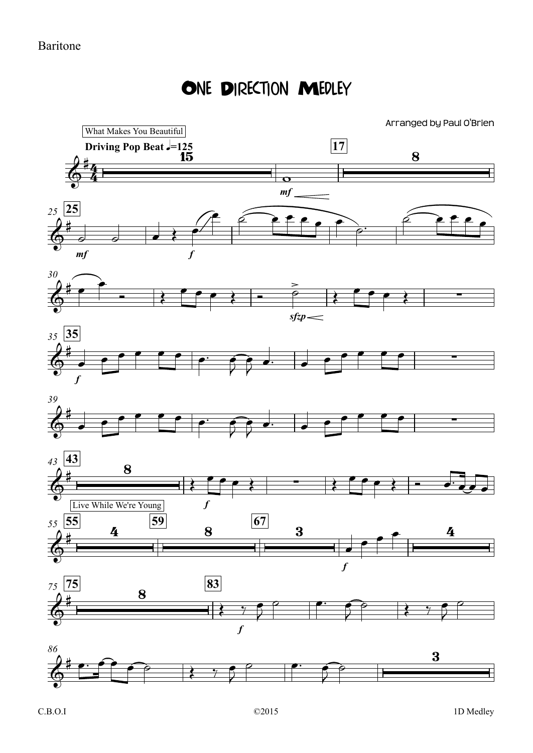## ONE DIRECTION MEDLEY